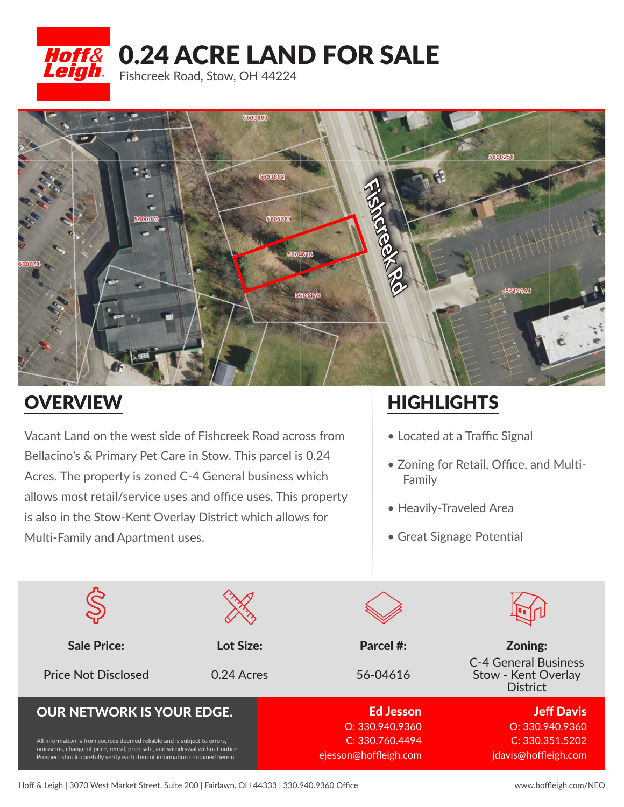



## **OVERVIEW**

Vacant Land on the west side of Fishcreek Road across from Bellacino's & Primary Pet Care in Stow. This parcel is 0.24 Acres. The property is zoned C-4 General business which allows most retail/service uses and office uses. This property is also in the Stow-Kent Overlay District which allows for Multi-Family and Apartment uses.

## **HIGHLIGHTS**

- Located at a Traffic Signal
- Zoning for Retail, Office, and Multi- Family
- Heavily-Traveled Area
- Great Signage Potential

| <b>Sale Price:</b>                                                                                                                                                                                                                         | Lot Size:  | Parcel #:                                                   | Zoning:                                                               |
|--------------------------------------------------------------------------------------------------------------------------------------------------------------------------------------------------------------------------------------------|------------|-------------------------------------------------------------|-----------------------------------------------------------------------|
| <b>Price Not Disclosed</b>                                                                                                                                                                                                                 | 0.24 Acres | 56-04616                                                    | <b>C-4 General Business</b><br>Stow - Kent Overlay<br><b>District</b> |
| <b>OUR NETWORK IS YOUR EDGE.</b>                                                                                                                                                                                                           |            | <b>Ed Jesson</b>                                            | <b>Jeff Davis</b>                                                     |
| All information is from sources deemed reliable and is subject to errors,<br>omissions, change of price, rental, prior sale, and withdrawal without notice.<br>Prospect should carefully verify each item of information contained herein. |            | O: 330.940.9360<br>C: 330.760.4494<br>ejesson@hoffleigh.com | O: 330.940.9360<br>C: 330.351.5202<br>jdavis@hoffleigh.com            |